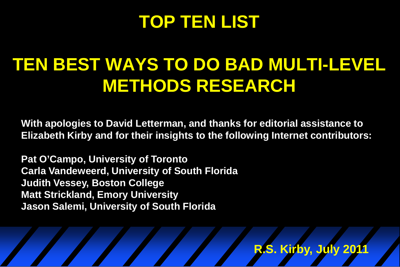## **TOP TEN LIST**

# **TEN BEST WAYS TO DO BAD MULTI-LEVEL METHODS RESEARCH**

**With apologies to David Letterman, and thanks for editorial assistance to Elizabeth Kirby and for their insights to the following Internet contributors:**

**Pat O'Campo, University of Toronto Carla Vandeweerd, University of South Florida Judith Vessey, Boston College Matt Strickland, Emory University Jason Salemi, University of South Florida** 

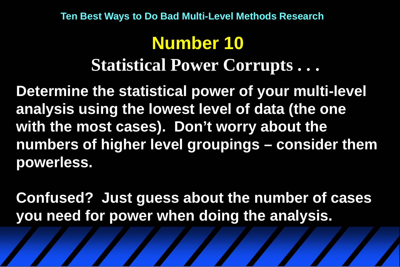# **Number 10 Statistical Power Corrupts . . .**

**Determine the statistical power of your multi-level analysis using the lowest level of data (the one with the most cases). Don't worry about the numbers of higher level groupings – consider them powerless.**

**Confused? Just guess about the number of cases you need for power when doing the analysis.**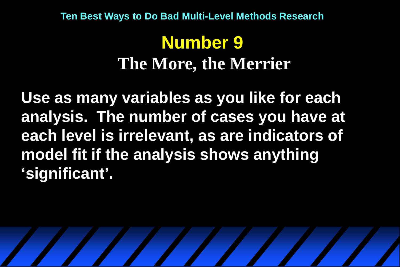## **Number 9 The More, the Merrier**

**Use as many variables as you like for each analysis. The number of cases you have at each level is irrelevant, as are indicators of model fit if the analysis shows anything 'significant'.**

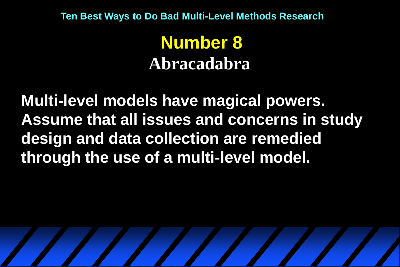**Number 8 Abracadabra**

**Multi-level models have magical powers. Assume that all issues and concerns in study design and data collection are remedied through the use of a multi-level model.**

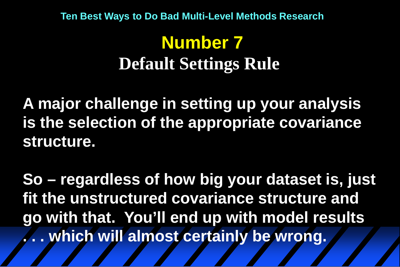# **Number 7 Default Settings Rule**

**A major challenge in setting up your analysis is the selection of the appropriate covariance structure.**

**So – regardless of how big your dataset is, just fit the unstructured covariance structure and go with that. You'll end up with model results . . . which will almost certainly be wrong.**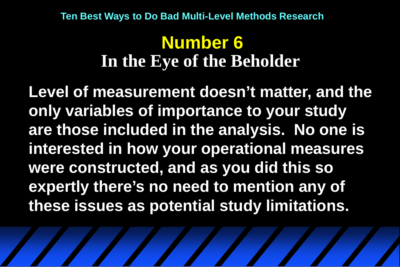#### **Number 6 In the Eye of the Beholder**

**Level of measurement doesn't matter, and the only variables of importance to your study are those included in the analysis. No one is interested in how your operational measures were constructed, and as you did this so expertly there's no need to mention any of these issues as potential study limitations.**

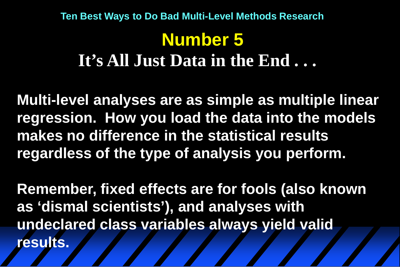### **Number 5 It's All Just Data in the End . . . Ten Best Ways to Do Bad Multi-Level Methods Research**

**Multi-level analyses are as simple as multiple linear regression. How you load the data into the models makes no difference in the statistical results regardless of the type of analysis you perform.** 

**Remember, fixed effects are for fools (also known as 'dismal scientists'), and analyses with undeclared class variables always yield valid results.**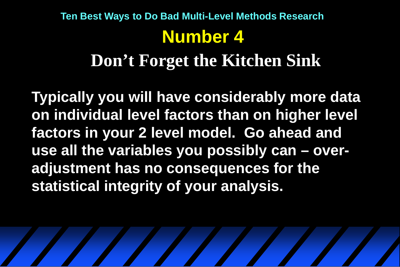### **Number 4 Don't Forget the Kitchen Sink Ten Best Ways to Do Bad Multi-Level Methods Research**

**Typically you will have considerably more data on individual level factors than on higher level factors in your 2 level model. Go ahead and use all the variables you possibly can – overadjustment has no consequences for the statistical integrity of your analysis.**

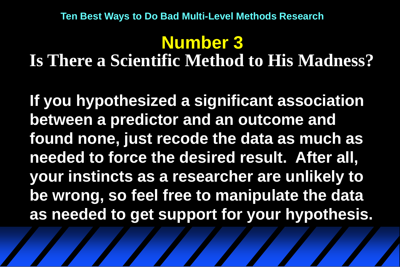#### **Number 3 Is There a Scientific Method to His Madness?**

**If you hypothesized a significant association between a predictor and an outcome and found none, just recode the data as much as needed to force the desired result. After all, your instincts as a researcher are unlikely to be wrong, so feel free to manipulate the data as needed to get support for your hypothesis.**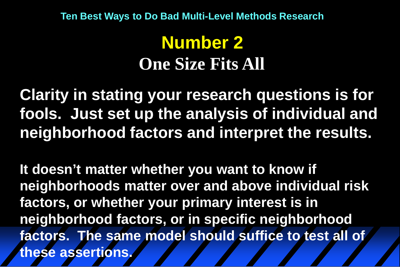## **Number 2 One Size Fits All**

**Clarity in stating your research questions is for fools. Just set up the analysis of individual and neighborhood factors and interpret the results.**

**It doesn't matter whether you want to know if neighborhoods matter over and above individual risk factors, or whether your primary interest is in neighborhood factors, or in specific neighborhood factors. The same model should suffice to test all of these assertions.**